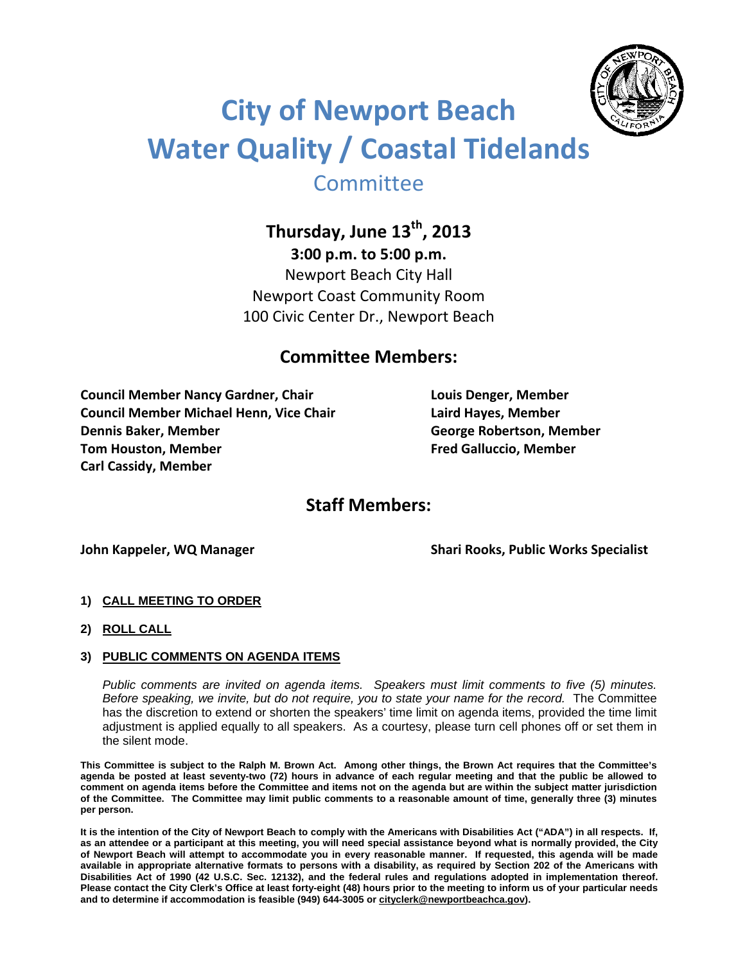

# **City of Newport Beach Water Quality / Coastal Tidelands Committee**

**Thursday, June 13th , 2013**

**3:00 p.m. to 5:00 p.m.** Newport Beach City Hall Newport Coast Community Room

# **Committee Members:**

100 Civic Center Dr., Newport Beach

**Council Member Nancy Gardner, Chair Louis Denger, Member Council Member Michael Henn, Vice Chair Laird Hayes, Member Dennis Baker, Member George Robertson, Member Tom Houston, Member Fred Galluccio, Member Carl Cassidy, Member** 

## **Staff Members:**

**John Kappeler, WQ Manager Shari Rooks, Public Works Specialist**

- **1) CALL MEETING TO ORDER**
- **2) ROLL CALL**

#### **3) PUBLIC COMMENTS ON AGENDA ITEMS**

*Public comments are invited on agenda items. Speakers must limit comments to five (5) minutes. Before speaking, we invite, but do not require, you to state your name for the record.* The Committee has the discretion to extend or shorten the speakers' time limit on agenda items, provided the time limit adjustment is applied equally to all speakers. As a courtesy, please turn cell phones off or set them in the silent mode.

**This Committee is subject to the Ralph M. Brown Act. Among other things, the Brown Act requires that the Committee's agenda be posted at least seventy-two (72) hours in advance of each regular meeting and that the public be allowed to comment on agenda items before the Committee and items not on the agenda but are within the subject matter jurisdiction of the Committee. The Committee may limit public comments to a reasonable amount of time, generally three (3) minutes per person.** 

**It is the intention of the City of Newport Beach to comply with the Americans with Disabilities Act ("ADA") in all respects. If, as an attendee or a participant at this meeting, you will need special assistance beyond what is normally provided, the City of Newport Beach will attempt to accommodate you in every reasonable manner. If requested, this agenda will be made available in appropriate alternative formats to persons with a disability, as required by Section 202 of the Americans with Disabilities Act of 1990 (42 U.S.C. Sec. 12132), and the federal rules and regulations adopted in implementation thereof. Please contact the City Clerk's Office at least forty-eight (48) hours prior to the meeting to inform us of your particular needs and to determine if accommodation is feasible (949) 644-3005 or cityclerk@newportbeachca.gov).**